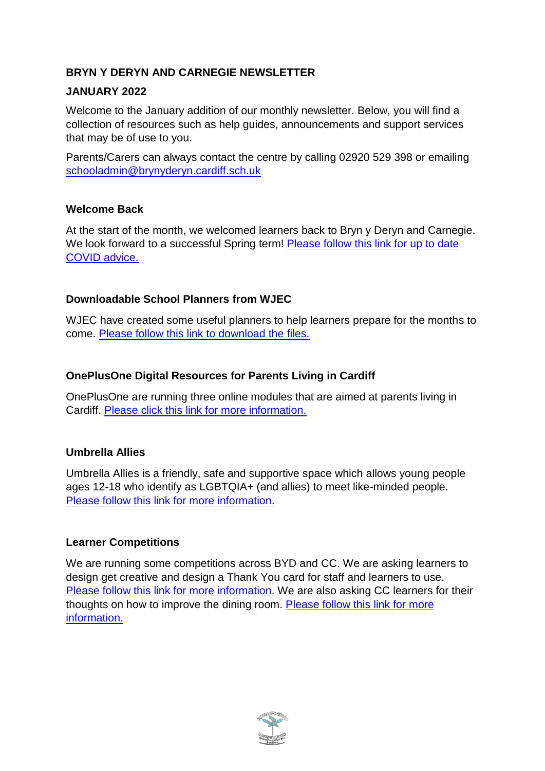### **BRYN Y DERYN AND CARNEGIE NEWSLETTER**

#### **JANUARY 2022**

Welcome to the January addition of our monthly newsletter. Below, you will find a collection of resources such as help guides, announcements and support services that may be of use to you.

Parents/Carers can always contact the centre by calling 02920 529 398 or emailing [schooladmin@brynyderyn.cardiff.sch.uk](mailto:schooladmin@brynyderyn.cardiff.sch.uk)

#### **Welcome Back**

At the start of the month, we welcomed learners back to Bryn y Deryn and Carnegie. We look forward to a successful Spring term! [Please follow this link for up to date](https://www.brynyderynpru.co.uk/post/covid-self-isolation-guidance-january-2022)  [COVID advice.](https://www.brynyderynpru.co.uk/post/covid-self-isolation-guidance-january-2022)

### **Downloadable School Planners from WJEC**

WJEC have created some useful planners to help learners prepare for the months to come. [Please follow this link to download the files.](https://www.brynyderynpru.co.uk/post/downloadable-school-planners-from-wjec)

# **OnePlusOne Digital Resources for Parents Living in Cardiff**

OnePlusOne are running three online modules that are aimed at parents living in Cardiff. [Please click this link for more information.](https://www.brynyderynpru.co.uk/post/oneplusone-digital-resources-for-parents-living-in-cardiff)

### **Umbrella Allies**

Umbrella Allies is a friendly, safe and supportive space which allows young people ages 12-18 who identify as LGBTQIA+ (and allies) to meet like-minded people. [Please follow this link](https://www.brynyderynpru.co.uk/post/umbrella-allies) for more information.

### **Learner Competitions**

We are running some competitions across BYD and CC. We are asking learners to design get creative and design a Thank You card for staff and learners to use. [Please follow this link for more information.](https://www.brynyderynpru.co.uk/post/learner-competition-byd-and-cc) We are also asking CC learners for their thoughts on how to improve the dining room. [Please follow this link for more](https://www.brynyderynpru.co.uk/post/learner-competition-redesign-the-carnegie-dining-room)  [information.](https://www.brynyderynpru.co.uk/post/learner-competition-redesign-the-carnegie-dining-room)